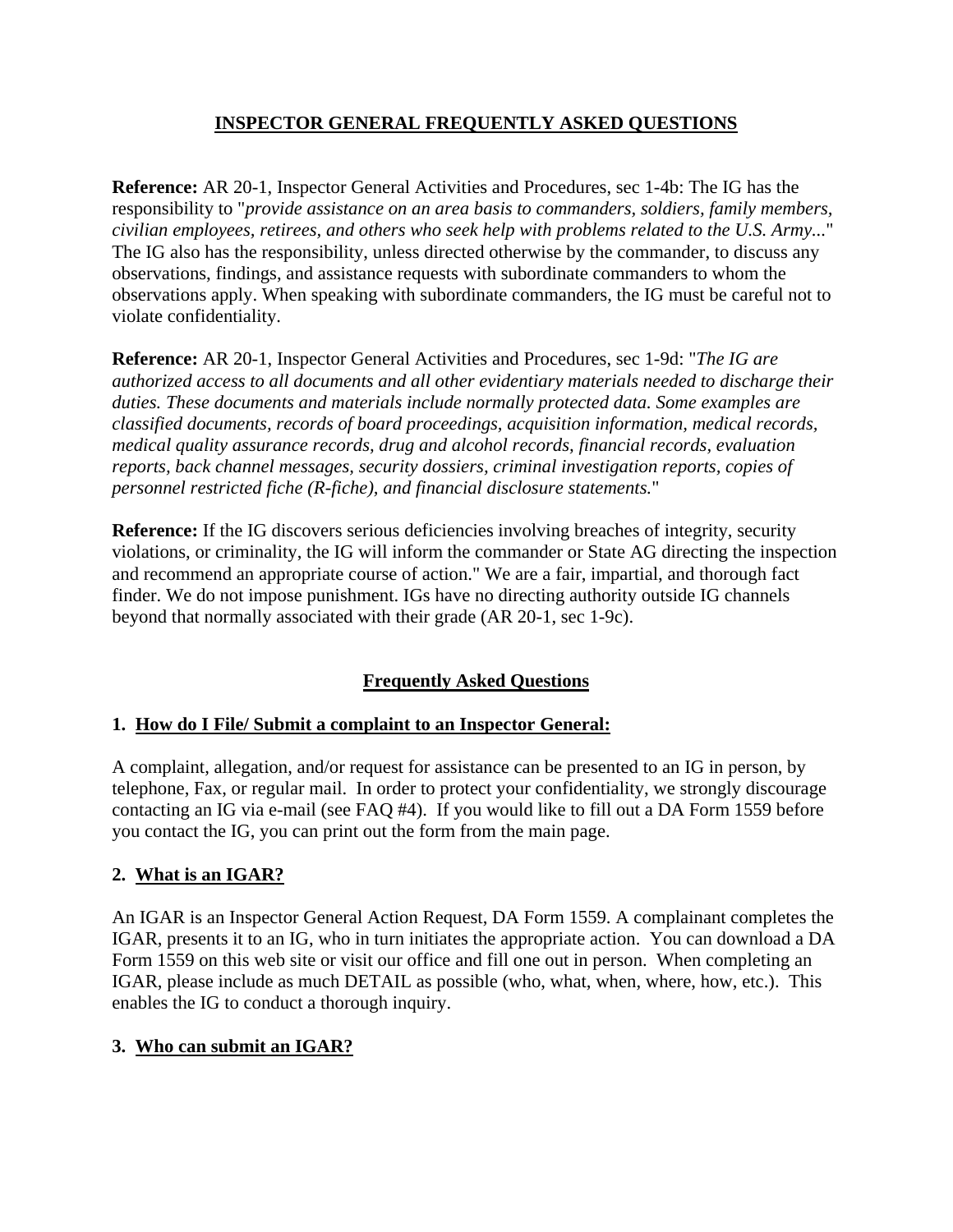# **INSPECTOR GENERAL FREQUENTLY ASKED QUESTIONS**

**Reference:** AR 20-1, Inspector General Activities and Procedures, sec 1-4b: The IG has the responsibility to "*provide assistance on an area basis to commanders, soldiers, family members, civilian employees, retirees, and others who seek help with problems related to the U.S. Army...*" The IG also has the responsibility, unless directed otherwise by the commander, to discuss any observations, findings, and assistance requests with subordinate commanders to whom the observations apply. When speaking with subordinate commanders, the IG must be careful not to violate confidentiality.

**Reference:** AR 20-1, Inspector General Activities and Procedures, sec 1-9d: "*The IG are authorized access to all documents and all other evidentiary materials needed to discharge their duties. These documents and materials include normally protected data. Some examples are classified documents, records of board proceedings, acquisition information, medical records, medical quality assurance records, drug and alcohol records, financial records, evaluation reports, back channel messages, security dossiers, criminal investigation reports, copies of personnel restricted fiche (R-fiche), and financial disclosure statements.*"

**Reference:** If the IG discovers serious deficiencies involving breaches of integrity, security violations, or criminality, the IG will inform the commander or State AG directing the inspection and recommend an appropriate course of action." We are a fair, impartial, and thorough fact finder. We do not impose punishment. IGs have no directing authority outside IG channels beyond that normally associated with their grade (AR 20-1, sec 1-9c).

# **Frequently Asked Questions**

### **1. How do I File/ Submit a complaint to an Inspector General:**

A complaint, allegation, and/or request for assistance can be presented to an IG in person, by telephone, Fax, or regular mail. In order to protect your confidentiality, we strongly discourage contacting an IG via e-mail (see FAQ #4). If you would like to fill out a DA Form 1559 before you contact the IG, you can print out the form from the main page.

### **2. What is an IGAR?**

An IGAR is an Inspector General Action Request, DA Form 1559. A complainant completes the IGAR, presents it to an IG, who in turn initiates the appropriate action. You can download a DA Form 1559 on this web site or visit our office and fill one out in person. When completing an IGAR, please include as much DETAIL as possible (who, what, when, where, how, etc.). This enables the IG to conduct a thorough inquiry.

### **3. Who can submit an IGAR?**